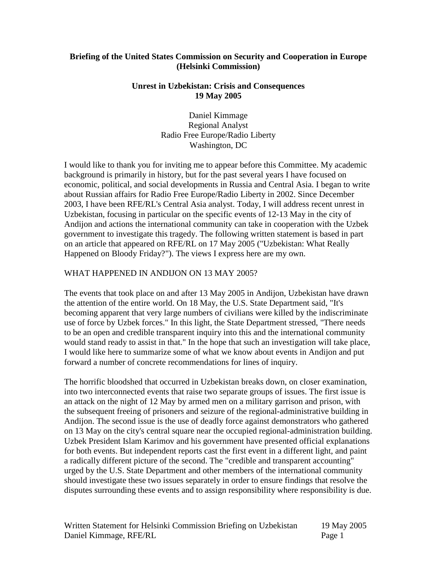### **Briefing of the United States Commission on Security and Cooperation in Europe (Helsinki Commission)**

#### **Unrest in Uzbekistan: Crisis and Consequences 19 May 2005**

Daniel Kimmage Regional Analyst Radio Free Europe/Radio Liberty Washington, DC

I would like to thank you for inviting me to appear before this Committee. My academic background is primarily in history, but for the past several years I have focused on economic, political, and social developments in Russia and Central Asia. I began to write about Russian affairs for Radio Free Europe/Radio Liberty in 2002. Since December 2003, I have been RFE/RL's Central Asia analyst. Today, I will address recent unrest in Uzbekistan, focusing in particular on the specific events of 12-13 May in the city of Andijon and actions the international community can take in cooperation with the Uzbek government to investigate this tragedy. The following written statement is based in part on an article that appeared on RFE/RL on 17 May 2005 ("Uzbekistan: What Really Happened on Bloody Friday?"). The views I express here are my own.

#### WHAT HAPPENED IN ANDIJON ON 13 MAY 2005?

The events that took place on and after 13 May 2005 in Andijon, Uzbekistan have drawn the attention of the entire world. On 18 May, the U.S. State Department said, "It's becoming apparent that very large numbers of civilians were killed by the indiscriminate use of force by Uzbek forces." In this light, the State Department stressed, "There needs to be an open and credible transparent inquiry into this and the international community would stand ready to assist in that." In the hope that such an investigation will take place, I would like here to summarize some of what we know about events in Andijon and put forward a number of concrete recommendations for lines of inquiry.

The horrific bloodshed that occurred in Uzbekistan breaks down, on closer examination, into two interconnected events that raise two separate groups of issues. The first issue is an attack on the night of 12 May by armed men on a military garrison and prison, with the subsequent freeing of prisoners and seizure of the regional-administrative building in Andijon. The second issue is the use of deadly force against demonstrators who gathered on 13 May on the city's central square near the occupied regional-administration building. Uzbek President Islam Karimov and his government have presented official explanations for both events. But independent reports cast the first event in a different light, and paint a radically different picture of the second. The "credible and transparent accounting" urged by the U.S. State Department and other members of the international community should investigate these two issues separately in order to ensure findings that resolve the disputes surrounding these events and to assign responsibility where responsibility is due.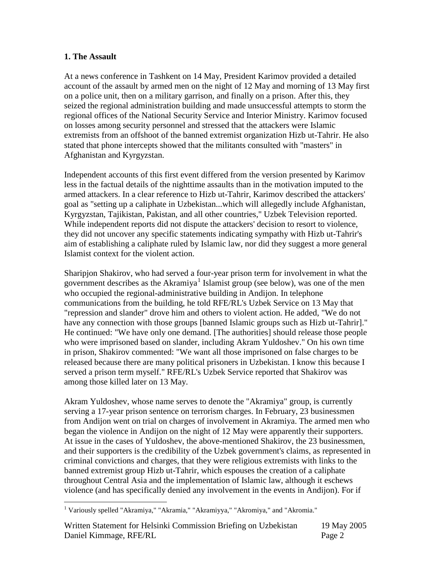## **1. The Assault**

At a news conference in Tashkent on 14 May, President Karimov provided a detailed account of the assault by armed men on the night of 12 May and morning of 13 May first on a police unit, then on a military garrison, and finally on a prison. After this, they seized the regional administration building and made unsuccessful attempts to storm the regional offices of the National Security Service and Interior Ministry. Karimov focused on losses among security personnel and stressed that the attackers were Islamic extremists from an offshoot of the banned extremist organization Hizb ut-Tahrir. He also stated that phone intercepts showed that the militants consulted with "masters" in Afghanistan and Kyrgyzstan.

Independent accounts of this first event differed from the version presented by Karimov less in the factual details of the nighttime assaults than in the motivation imputed to the armed attackers. In a clear reference to Hizb ut-Tahrir, Karimov described the attackers' goal as "setting up a caliphate in Uzbekistan...which will allegedly include Afghanistan, Kyrgyzstan, Tajikistan, Pakistan, and all other countries," Uzbek Television reported. While independent reports did not dispute the attackers' decision to resort to violence, they did not uncover any specific statements indicating sympathy with Hizb ut-Tahrir's aim of establishing a caliphate ruled by Islamic law, nor did they suggest a more general Islamist context for the violent action.

Sharipjon Shakirov, who had served a four-year prison term for involvement in what the government describes as the Akramiya<sup>[1](#page-1-0)</sup> Islamist group (see below), was one of the men who occupied the regional-administrative building in Andijon. In telephone communications from the building, he told RFE/RL's Uzbek Service on 13 May that "repression and slander" drove him and others to violent action. He added, "We do not have any connection with those groups [banned Islamic groups such as Hizb ut-Tahrir]." He continued: "We have only one demand. [The authorities] should release those people who were imprisoned based on slander, including Akram Yuldoshev." On his own time in prison, Shakirov commented: "We want all those imprisoned on false charges to be released because there are many political prisoners in Uzbekistan. I know this because I served a prison term myself." RFE/RL's Uzbek Service reported that Shakirov was among those killed later on 13 May.

Akram Yuldoshev, whose name serves to denote the "Akramiya" group, is currently serving a 17-year prison sentence on terrorism charges. In February, 23 businessmen from Andijon went on trial on charges of involvement in Akramiya. The armed men who began the violence in Andijon on the night of 12 May were apparently their supporters. At issue in the cases of Yuldoshev, the above-mentioned Shakirov, the 23 businessmen, and their supporters is the credibility of the Uzbek government's claims, as represented in criminal convictions and charges, that they were religious extremists with links to the banned extremist group Hizb ut-Tahrir, which espouses the creation of a caliphate throughout Central Asia and the implementation of Islamic law, although it eschews violence (and has specifically denied any involvement in the events in Andijon). For if

<span id="page-1-0"></span><sup>&</sup>lt;sup>1</sup> Variously spelled "Akramiya," "Akramia," "Akramiyya," "Akromiya," and "Akromia."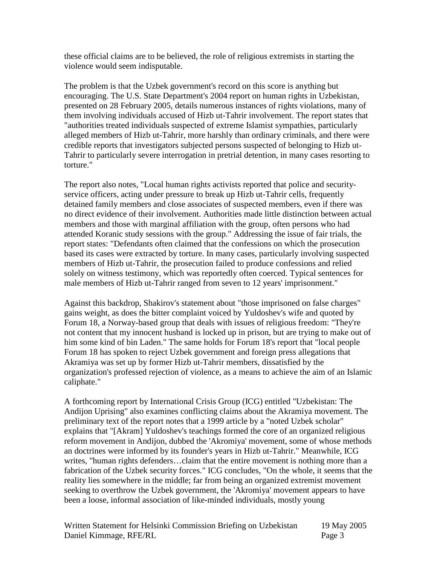these official claims are to be believed, the role of religious extremists in starting the violence would seem indisputable.

The problem is that the Uzbek government's record on this score is anything but encouraging. The U.S. State Department's 2004 report on human rights in Uzbekistan, presented on 28 February 2005, details numerous instances of rights violations, many of them involving individuals accused of Hizb ut-Tahrir involvement. The report states that "authorities treated individuals suspected of extreme Islamist sympathies, particularly alleged members of Hizb ut-Tahrir, more harshly than ordinary criminals, and there were credible reports that investigators subjected persons suspected of belonging to Hizb ut-Tahrir to particularly severe interrogation in pretrial detention, in many cases resorting to torture."

The report also notes, "Local human rights activists reported that police and securityservice officers, acting under pressure to break up Hizb ut-Tahrir cells, frequently detained family members and close associates of suspected members, even if there was no direct evidence of their involvement. Authorities made little distinction between actual members and those with marginal affiliation with the group, often persons who had attended Koranic study sessions with the group." Addressing the issue of fair trials, the report states: "Defendants often claimed that the confessions on which the prosecution based its cases were extracted by torture. In many cases, particularly involving suspected members of Hizb ut-Tahrir, the prosecution failed to produce confessions and relied solely on witness testimony, which was reportedly often coerced. Typical sentences for male members of Hizb ut-Tahrir ranged from seven to 12 years' imprisonment."

Against this backdrop, Shakirov's statement about "those imprisoned on false charges" gains weight, as does the bitter complaint voiced by Yuldoshev's wife and quoted by Forum 18, a Norway-based group that deals with issues of religious freedom: "They're not content that my innocent husband is locked up in prison, but are trying to make out of him some kind of bin Laden." The same holds for Forum 18's report that "local people Forum 18 has spoken to reject Uzbek government and foreign press allegations that Akramiya was set up by former Hizb ut-Tahrir members, dissatisfied by the organization's professed rejection of violence, as a means to achieve the aim of an Islamic caliphate."

A forthcoming report by International Crisis Group (ICG) entitled "Uzbekistan: The Andijon Uprising" also examines conflicting claims about the Akramiya movement. The preliminary text of the report notes that a 1999 article by a "noted Uzbek scholar" explains that "[Akram] Yuldoshev's teachings formed the core of an organized religious reform movement in Andijon, dubbed the 'Akromiya' movement, some of whose methods an doctrines were informed by its founder's years in Hizb ut-Tahrir." Meanwhile, ICG writes, "human rights defenders…claim that the entire movement is nothing more than a fabrication of the Uzbek security forces." ICG concludes, "On the whole, it seems that the reality lies somewhere in the middle; far from being an organized extremist movement seeking to overthrow the Uzbek government, the 'Akromiya' movement appears to have been a loose, informal association of like-minded individuals, mostly young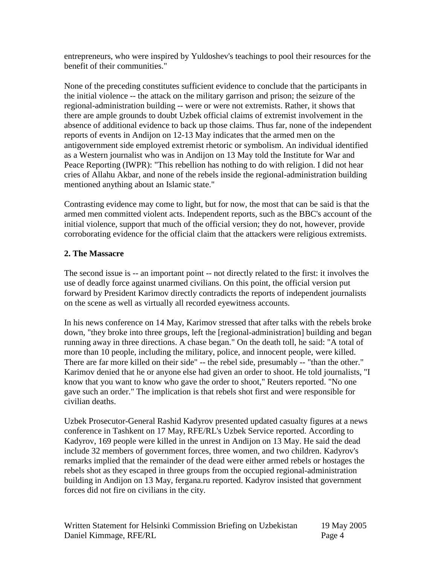entrepreneurs, who were inspired by Yuldoshev's teachings to pool their resources for the benefit of their communities."

None of the preceding constitutes sufficient evidence to conclude that the participants in the initial violence -- the attack on the military garrison and prison; the seizure of the regional-administration building -- were or were not extremists. Rather, it shows that there are ample grounds to doubt Uzbek official claims of extremist involvement in the absence of additional evidence to back up those claims. Thus far, none of the independent reports of events in Andijon on 12-13 May indicates that the armed men on the antigovernment side employed extremist rhetoric or symbolism. An individual identified as a Western journalist who was in Andijon on 13 May told the Institute for War and Peace Reporting (IWPR): "This rebellion has nothing to do with religion. I did not hear cries of Allahu Akbar, and none of the rebels inside the regional-administration building mentioned anything about an Islamic state."

Contrasting evidence may come to light, but for now, the most that can be said is that the armed men committed violent acts. Independent reports, such as the BBC's account of the initial violence, support that much of the official version; they do not, however, provide corroborating evidence for the official claim that the attackers were religious extremists.

# **2. The Massacre**

The second issue is -- an important point -- not directly related to the first: it involves the use of deadly force against unarmed civilians. On this point, the official version put forward by President Karimov directly contradicts the reports of independent journalists on the scene as well as virtually all recorded eyewitness accounts.

In his news conference on 14 May, Karimov stressed that after talks with the rebels broke down, "they broke into three groups, left the [regional-administration] building and began running away in three directions. A chase began." On the death toll, he said: "A total of more than 10 people, including the military, police, and innocent people, were killed. There are far more killed on their side" -- the rebel side, presumably -- "than the other." Karimov denied that he or anyone else had given an order to shoot. He told journalists, "I know that you want to know who gave the order to shoot," Reuters reported. "No one gave such an order." The implication is that rebels shot first and were responsible for civilian deaths.

Uzbek Prosecutor-General Rashid Kadyrov presented updated casualty figures at a news conference in Tashkent on 17 May, RFE/RL's Uzbek Service reported. According to Kadyrov, 169 people were killed in the unrest in Andijon on 13 May. He said the dead include 32 members of government forces, three women, and two children. Kadyrov's remarks implied that the remainder of the dead were either armed rebels or hostages the rebels shot as they escaped in three groups from the occupied regional-administration building in Andijon on 13 May, fergana.ru reported. Kadyrov insisted that government forces did not fire on civilians in the city.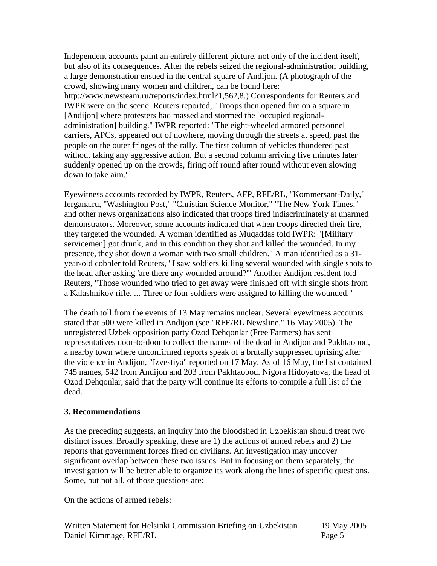Independent accounts paint an entirely different picture, not only of the incident itself, but also of its consequences. After the rebels seized the regional-administration building, a large demonstration ensued in the central square of Andijon. (A photograph of the crowd, showing many women and children, can be found here: http://www.newsteam.ru/reports/index.html?1,562,8.) Correspondents for Reuters and IWPR were on the scene. Reuters reported, "Troops then opened fire on a square in [Andijon] where protesters had massed and stormed the [occupied regionaladministration] building." IWPR reported: "The eight-wheeled armored personnel carriers, APCs, appeared out of nowhere, moving through the streets at speed, past the people on the outer fringes of the rally. The first column of vehicles thundered past without taking any aggressive action. But a second column arriving five minutes later suddenly opened up on the crowds, firing off round after round without even slowing down to take aim."

Eyewitness accounts recorded by IWPR, Reuters, AFP, RFE/RL, "Kommersant-Daily," fergana.ru, "Washington Post," "Christian Science Monitor," "The New York Times," and other news organizations also indicated that troops fired indiscriminately at unarmed demonstrators. Moreover, some accounts indicated that when troops directed their fire, they targeted the wounded. A woman identified as Muqaddas told IWPR: "[Military servicemen] got drunk, and in this condition they shot and killed the wounded. In my presence, they shot down a woman with two small children." A man identified as a 31 year-old cobbler told Reuters, "I saw soldiers killing several wounded with single shots to the head after asking 'are there any wounded around?'" Another Andijon resident told Reuters, "Those wounded who tried to get away were finished off with single shots from a Kalashnikov rifle. ... Three or four soldiers were assigned to killing the wounded."

The death toll from the events of 13 May remains unclear. Several eyewitness accounts stated that 500 were killed in Andijon (see "RFE/RL Newsline," 16 May 2005). The unregistered Uzbek opposition party Ozod Dehqonlar (Free Farmers) has sent representatives door-to-door to collect the names of the dead in Andijon and Pakhtaobod, a nearby town where unconfirmed reports speak of a brutally suppressed uprising after the violence in Andijon, "Izvestiya" reported on 17 May. As of 16 May, the list contained 745 names, 542 from Andijon and 203 from Pakhtaobod. Nigora Hidoyatova, the head of Ozod Dehqonlar, said that the party will continue its efforts to compile a full list of the dead.

## **3. Recommendations**

As the preceding suggests, an inquiry into the bloodshed in Uzbekistan should treat two distinct issues. Broadly speaking, these are 1) the actions of armed rebels and 2) the reports that government forces fired on civilians. An investigation may uncover significant overlap between these two issues. But in focusing on them separately, the investigation will be better able to organize its work along the lines of specific questions. Some, but not all, of those questions are:

On the actions of armed rebels: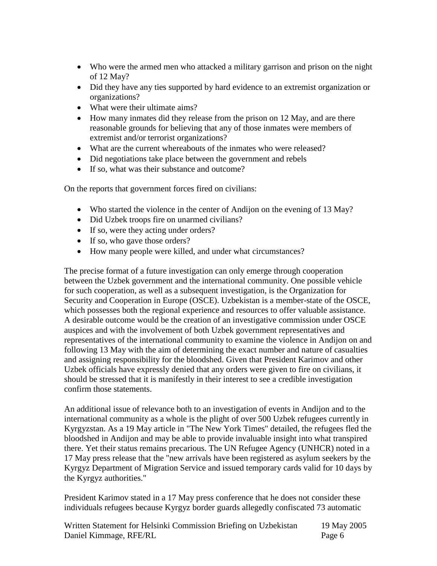- Who were the armed men who attacked a military garrison and prison on the night of 12 May?
- Did they have any ties supported by hard evidence to an extremist organization or organizations?
- What were their ultimate aims?
- How many inmates did they release from the prison on 12 May, and are there reasonable grounds for believing that any of those inmates were members of extremist and/or terrorist organizations?
- What are the current whereabouts of the inmates who were released?
- Did negotiations take place between the government and rebels
- If so, what was their substance and outcome?

On the reports that government forces fired on civilians:

- Who started the violence in the center of Andijon on the evening of 13 May?
- Did Uzbek troops fire on unarmed civilians?
- If so, were they acting under orders?
- If so, who gave those orders?
- How many people were killed, and under what circumstances?

The precise format of a future investigation can only emerge through cooperation between the Uzbek government and the international community. One possible vehicle for such cooperation, as well as a subsequent investigation, is the Organization for Security and Cooperation in Europe (OSCE). Uzbekistan is a member-state of the OSCE, which possesses both the regional experience and resources to offer valuable assistance. A desirable outcome would be the creation of an investigative commission under OSCE auspices and with the involvement of both Uzbek government representatives and representatives of the international community to examine the violence in Andijon on and following 13 May with the aim of determining the exact number and nature of casualties and assigning responsibility for the bloodshed. Given that President Karimov and other Uzbek officials have expressly denied that any orders were given to fire on civilians, it should be stressed that it is manifestly in their interest to see a credible investigation confirm those statements.

An additional issue of relevance both to an investigation of events in Andijon and to the international community as a whole is the plight of over 500 Uzbek refugees currently in Kyrgyzstan. As a 19 May article in "The New York Times" detailed, the refugees fled the bloodshed in Andijon and may be able to provide invaluable insight into what transpired there. Yet their status remains precarious. The UN Refugee Agency (UNHCR) noted in a 17 May press release that the "new arrivals have been registered as asylum seekers by the Kyrgyz Department of Migration Service and issued temporary cards valid for 10 days by the Kyrgyz authorities."

President Karimov stated in a 17 May press conference that he does not consider these individuals refugees because Kyrgyz border guards allegedly confiscated 73 automatic

| Written Statement for Helsinki Commission Briefing on Uzbekistan | 19 May 2005 |
|------------------------------------------------------------------|-------------|
| Daniel Kimmage, RFE/RL                                           | Page 6      |